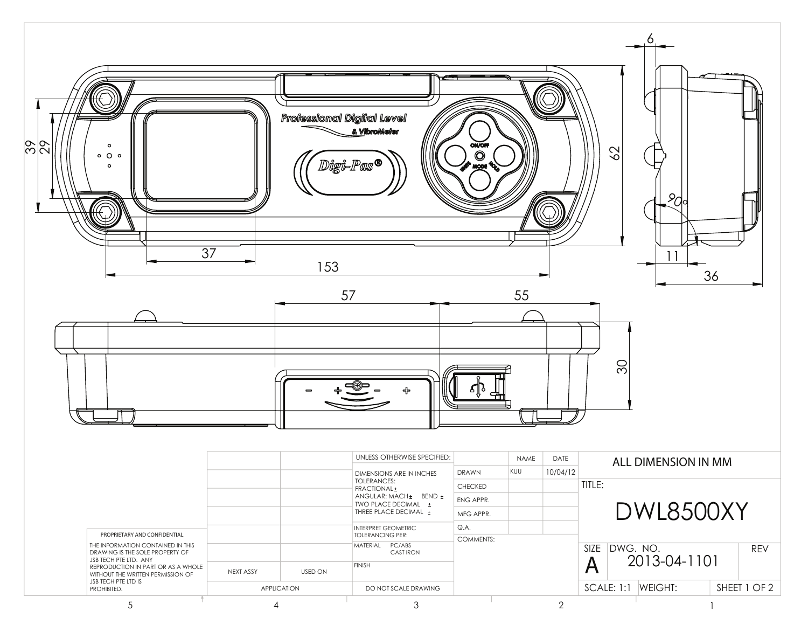